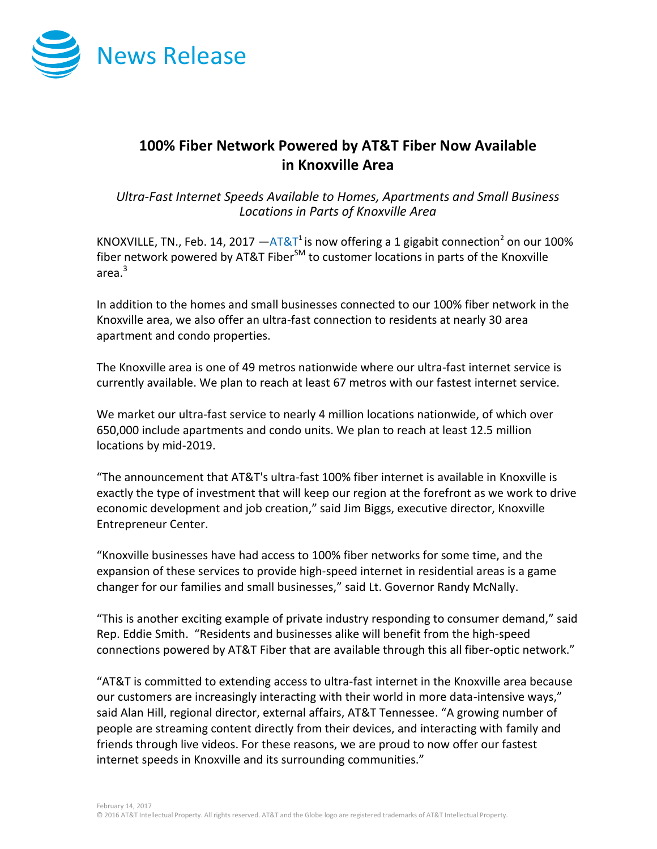

## **100% Fiber Network Powered by AT&T Fiber Now Available in Knoxville Area**

*Ultra-Fast Internet Speeds Available to Homes, Apartments and Small Business Locations in Parts of Knoxville Area*

KNOXVILLE, TN., Feb. 14, 2017  $-AT&T^1$  $-AT&T^1$  $-AT&T^1$  is now offering a 1 gigabit connection<sup>2</sup> on our 100% fiber network powered by AT&T Fiber $^{5M}$  to customer locations in parts of the Knoxville area. 3

In addition to the homes and small businesses connected to our 100% fiber network in the Knoxville area, we also offer an ultra-fast connection to residents at nearly 30 area apartment and condo properties.

The Knoxville area is one of 49 metros nationwide where our ultra-fast internet service is currently available. We plan to reach at least 67 metros with our fastest internet service.

We market our ultra-fast service to nearly 4 million locations nationwide, of which over 650,000 include apartments and condo units. We plan to reach at least 12.5 million locations by mid-2019.

"The announcement that AT&T's ultra-fast 100% fiber internet is available in Knoxville is exactly the type of investment that will keep our region at the forefront as we work to drive economic development and job creation," said Jim Biggs, executive director, Knoxville Entrepreneur Center.

"Knoxville businesses have had access to 100% fiber networks for some time, and the expansion of these services to provide high-speed internet in residential areas is a game changer for our families and small businesses," said Lt. Governor Randy McNally.

"This is another exciting example of private industry responding to consumer demand," said Rep. Eddie Smith. "Residents and businesses alike will benefit from the high-speed connections powered by AT&T Fiber that are available through this all fiber-optic network."

"AT&T is committed to extending access to ultra-fast internet in the Knoxville area because our customers are increasingly interacting with their world in more data-intensive ways," said Alan Hill, regional director, external affairs, AT&T Tennessee. "A growing number of people are streaming content directly from their devices, and interacting with family and friends through live videos. For these reasons, we are proud to now offer our fastest internet speeds in Knoxville and its surrounding communities."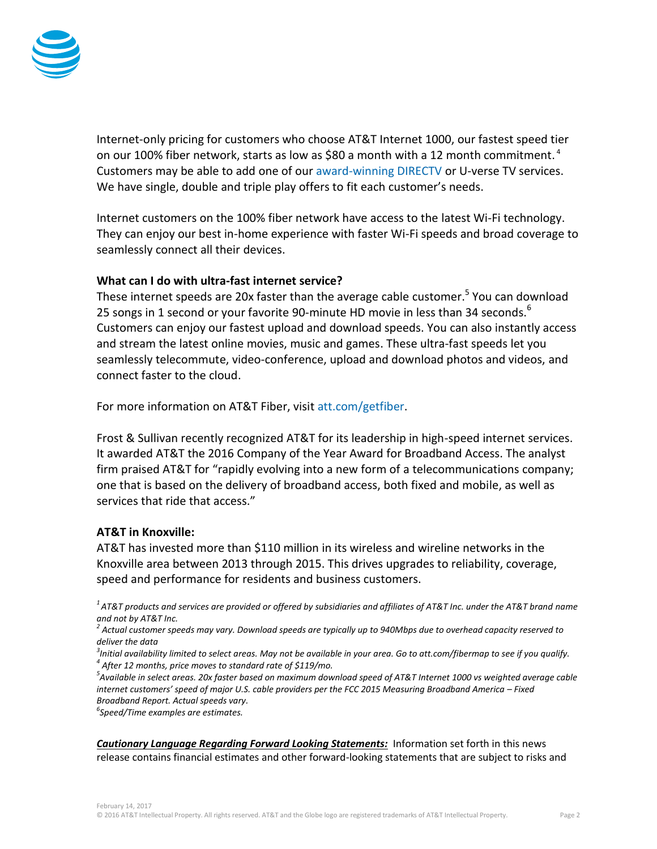

Internet-only pricing for customers who choose AT&T Internet 1000, our fastest speed tier on our 100% fiber network, starts as low as \$80 a month with a 12 month commitment.<sup>4</sup> Customers may be able to add one of our [award-winning DIRECTV](http://www.directv.com/) or U-verse TV services. We have single, double and triple play offers to fit each customer's needs.

Internet customers on the 100% fiber network have access to the latest Wi-Fi technology. They can enjoy our best in-home experience with faster Wi-Fi speeds and broad coverage to seamlessly connect all their devices.

## **What can I do with ultra-fast internet service?**

These internet speeds are 20x faster than the average cable customer.<sup>5</sup> You can download 25 songs in 1 second or your favorite 90-minute HD movie in less than 34 seconds.<sup>6</sup> Customers can enjoy our fastest upload and download speeds. You can also instantly access and stream the latest online movies, music and games. These ultra-fast speeds let you seamlessly telecommute, video-conference, upload and download photos and videos, and connect faster to the cloud.

For more information on AT&T Fiber, visit [att.com/getfiber.](https://www.att.com/internet/gigapower.html?source=ECtr0000000000GdD&wtExtndSource=getfiber)

Frost & Sullivan recently recognized AT&T for its leadership in high-speed internet services. It awarded AT&T the 2016 Company of the Year Award for Broadband Access. The analyst firm praised AT&T for "rapidly evolving into a new form of a telecommunications company; one that is based on the delivery of broadband access, both fixed and mobile, as well as services that ride that access."

## **AT&T in Knoxville:**

AT&T has invested more than \$110 million in its wireless and wireline networks in the Knoxville area between 2013 through 2015. This drives upgrades to reliability, coverage, speed and performance for residents and business customers.

*<sup>1</sup>AT&T products and services are provided or offered by subsidiaries and affiliates of AT&T Inc. under the AT&T brand name and not by AT&T Inc.*

*2 Actual customer speeds may vary. Download speeds are typically up to 940Mbps due to overhead capacity reserved to deliver the data*

*3 Initial availability limited to select areas. May not be available in your area. Go to att.com/fibermap to see if you qualify. 4 After 12 months, price moves to standard rate of \$119/mo.*

*5 Available in select areas. 20x faster based on maximum download speed of AT&T Internet 1000 vs weighted average cable internet customers' speed of major U.S. cable providers per the FCC 2015 Measuring Broadband America – Fixed Broadband Report. Actual speeds vary.*

*6 Speed/Time examples are estimates.*

*Cautionary Language Regarding Forward Looking Statements:* Information set forth in this news release contains financial estimates and other forward-looking statements that are subject to risks and